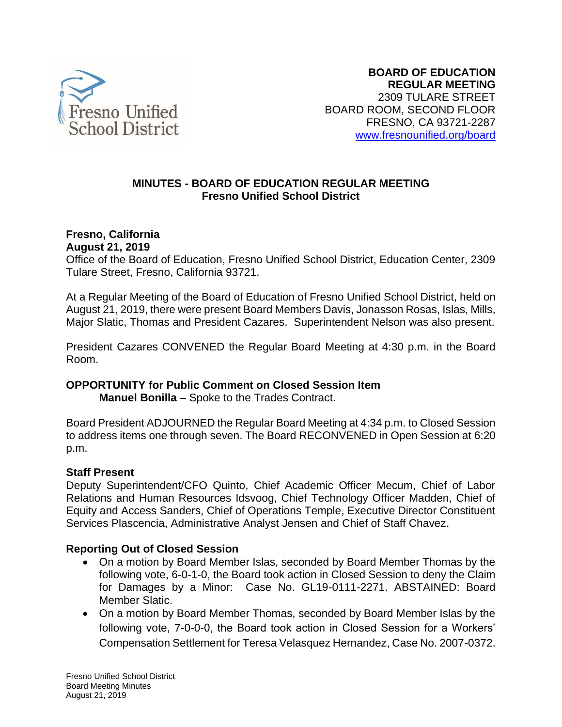

## **MINUTES - BOARD OF EDUCATION REGULAR MEETING Fresno Unified School District**

#### **Fresno, California August 21, 2019**

Office of the Board of Education, Fresno Unified School District, Education Center, 2309 Tulare Street, Fresno, California 93721.

At a Regular Meeting of the Board of Education of Fresno Unified School District, held on August 21, 2019, there were present Board Members Davis, Jonasson Rosas, Islas, Mills, Major Slatic, Thomas and President Cazares. Superintendent Nelson was also present.

President Cazares CONVENED the Regular Board Meeting at 4:30 p.m. in the Board Room.

# **OPPORTUNITY for Public Comment on Closed Session Item**

**Manuel Bonilla** – Spoke to the Trades Contract.

Board President ADJOURNED the Regular Board Meeting at 4:34 p.m. to Closed Session to address items one through seven. The Board RECONVENED in Open Session at 6:20 p.m.

# **Staff Present**

Deputy Superintendent/CFO Quinto, Chief Academic Officer Mecum, Chief of Labor Relations and Human Resources Idsvoog, Chief Technology Officer Madden, Chief of Equity and Access Sanders, Chief of Operations Temple, Executive Director Constituent Services Plascencia, Administrative Analyst Jensen and Chief of Staff Chavez.

# **Reporting Out of Closed Session**

- On a motion by Board Member Islas, seconded by Board Member Thomas by the following vote, 6-0-1-0, the Board took action in Closed Session to deny the Claim for Damages by a Minor: Case No. GL19-0111-2271. ABSTAINED: Board Member Slatic.
- On a motion by Board Member Thomas, seconded by Board Member Islas by the following vote, 7-0-0-0, the Board took action in Closed Session for a Workers' Compensation Settlement for Teresa Velasquez Hernandez, Case No. 2007-0372.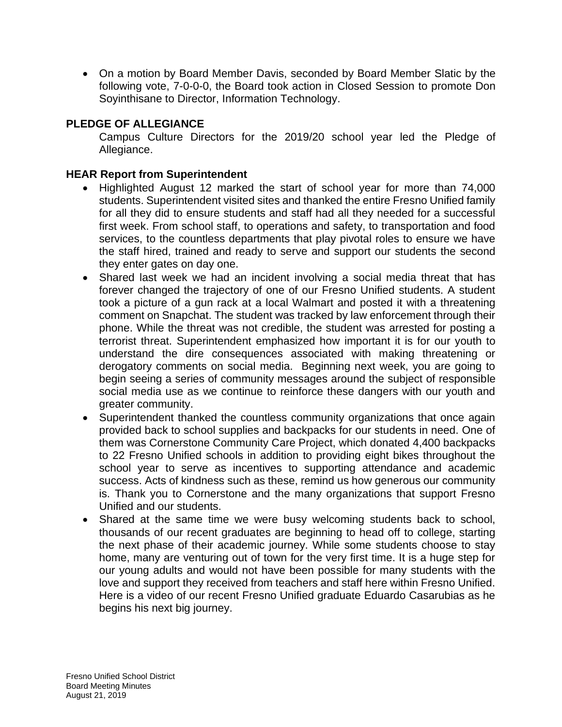• On a motion by Board Member Davis, seconded by Board Member Slatic by the following vote, 7-0-0-0, the Board took action in Closed Session to promote Don Soyinthisane to Director, Information Technology.

# **PLEDGE OF ALLEGIANCE**

Campus Culture Directors for the 2019/20 school year led the Pledge of Allegiance.

## **HEAR Report from Superintendent**

- Highlighted August 12 marked the start of school year for more than 74,000 students. Superintendent visited sites and thanked the entire Fresno Unified family for all they did to ensure students and staff had all they needed for a successful first week. From school staff, to operations and safety, to transportation and food services, to the countless departments that play pivotal roles to ensure we have the staff hired, trained and ready to serve and support our students the second they enter gates on day one.
- Shared last week we had an incident involving a social media threat that has forever changed the trajectory of one of our Fresno Unified students. A student took a picture of a gun rack at a local Walmart and posted it with a threatening comment on Snapchat. The student was tracked by law enforcement through their phone. While the threat was not credible, the student was arrested for posting a terrorist threat. Superintendent emphasized how important it is for our youth to understand the dire consequences associated with making threatening or derogatory comments on social media. Beginning next week, you are going to begin seeing a series of community messages around the subject of responsible social media use as we continue to reinforce these dangers with our youth and greater community.
- Superintendent thanked the countless community organizations that once again provided back to school supplies and backpacks for our students in need. One of them was Cornerstone Community Care Project, which donated 4,400 backpacks to 22 Fresno Unified schools in addition to providing eight bikes throughout the school year to serve as incentives to supporting attendance and academic success. Acts of kindness such as these, remind us how generous our community is. Thank you to Cornerstone and the many organizations that support Fresno Unified and our students.
- Shared at the same time we were busy welcoming students back to school, thousands of our recent graduates are beginning to head off to college, starting the next phase of their academic journey. While some students choose to stay home, many are venturing out of town for the very first time. It is a huge step for our young adults and would not have been possible for many students with the love and support they received from teachers and staff here within Fresno Unified. Here is a video of our recent Fresno Unified graduate Eduardo Casarubias as he begins his next big journey.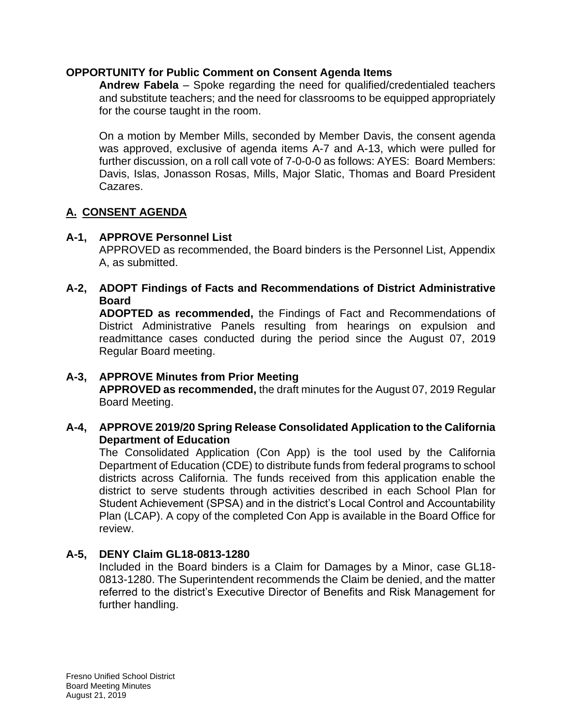#### **OPPORTUNITY for Public Comment on Consent Agenda Items**

**Andrew Fabela** – Spoke regarding the need for qualified/credentialed teachers and substitute teachers; and the need for classrooms to be equipped appropriately for the course taught in the room.

On a motion by Member Mills, seconded by Member Davis, the consent agenda was approved, exclusive of agenda items A-7 and A-13, which were pulled for further discussion, on a roll call vote of 7-0-0-0 as follows: AYES: Board Members: Davis, Islas, Jonasson Rosas, Mills, Major Slatic, Thomas and Board President Cazares.

# **A. CONSENT AGENDA**

# **A-1, APPROVE Personnel List**

APPROVED as recommended, the Board binders is the Personnel List, Appendix A, as submitted.

## **A-2, ADOPT Findings of Facts and Recommendations of District Administrative Board**

**ADOPTED as recommended,** the Findings of Fact and Recommendations of District Administrative Panels resulting from hearings on expulsion and readmittance cases conducted during the period since the August 07, 2019 Regular Board meeting.

#### **A-3, APPROVE Minutes from Prior Meeting APPROVED as recommended,** the draft minutes for the August 07, 2019 Regular Board Meeting.

# **A-4, APPROVE 2019/20 Spring Release Consolidated Application to the California Department of Education**

The Consolidated Application (Con App) is the tool used by the California Department of Education (CDE) to distribute funds from federal programs to school districts across California. The funds received from this application enable the district to serve students through activities described in each School Plan for Student Achievement (SPSA) and in the district's Local Control and Accountability Plan (LCAP). A copy of the completed Con App is available in the Board Office for review.

# **A-5, DENY Claim GL18-0813-1280**

Included in the Board binders is a Claim for Damages by a Minor, case GL18- 0813-1280. The Superintendent recommends the Claim be denied, and the matter referred to the district's Executive Director of Benefits and Risk Management for further handling.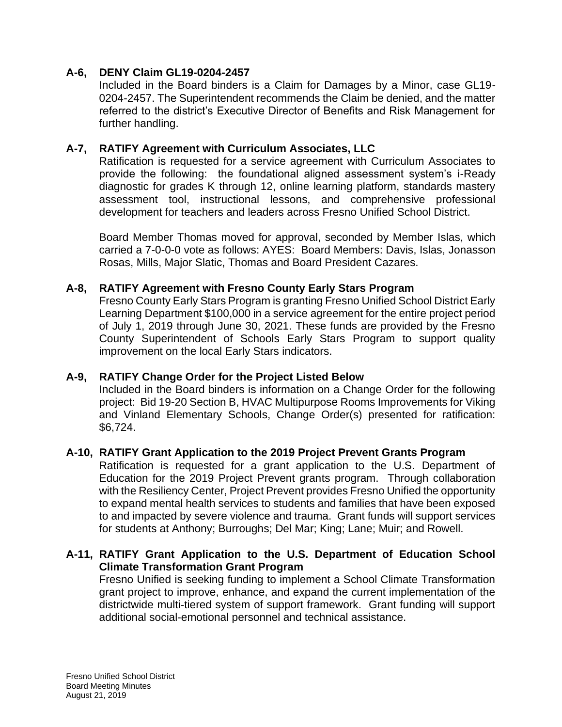### **A-6, DENY Claim GL19-0204-2457**

Included in the Board binders is a Claim for Damages by a Minor, case GL19- 0204-2457. The Superintendent recommends the Claim be denied, and the matter referred to the district's Executive Director of Benefits and Risk Management for further handling.

## **A-7, RATIFY Agreement with Curriculum Associates, LLC**

Ratification is requested for a service agreement with Curriculum Associates to provide the following: the foundational aligned assessment system's i-Ready diagnostic for grades K through 12, online learning platform, standards mastery assessment tool, instructional lessons, and comprehensive professional development for teachers and leaders across Fresno Unified School District.

Board Member Thomas moved for approval, seconded by Member Islas, which carried a 7-0-0-0 vote as follows: AYES: Board Members: Davis, Islas, Jonasson Rosas, Mills, Major Slatic, Thomas and Board President Cazares.

### **A-8, RATIFY Agreement with Fresno County Early Stars Program**

Fresno County Early Stars Program is granting Fresno Unified School District Early Learning Department \$100,000 in a service agreement for the entire project period of July 1, 2019 through June 30, 2021. These funds are provided by the Fresno County Superintendent of Schools Early Stars Program to support quality improvement on the local Early Stars indicators.

#### **A-9, RATIFY Change Order for the Project Listed Below**

Included in the Board binders is information on a Change Order for the following project: Bid 19-20 Section B, HVAC Multipurpose Rooms Improvements for Viking and Vinland Elementary Schools, Change Order(s) presented for ratification: \$6,724.

#### **A-10, RATIFY Grant Application to the 2019 Project Prevent Grants Program**

Ratification is requested for a grant application to the U.S. Department of Education for the 2019 Project Prevent grants program. Through collaboration with the Resiliency Center, Project Prevent provides Fresno Unified the opportunity to expand mental health services to students and families that have been exposed to and impacted by severe violence and trauma. Grant funds will support services for students at Anthony; Burroughs; Del Mar; King; Lane; Muir; and Rowell.

# **A-11, RATIFY Grant Application to the U.S. Department of Education School Climate Transformation Grant Program**

Fresno Unified is seeking funding to implement a School Climate Transformation grant project to improve, enhance, and expand the current implementation of the districtwide multi-tiered system of support framework. Grant funding will support additional social-emotional personnel and technical assistance.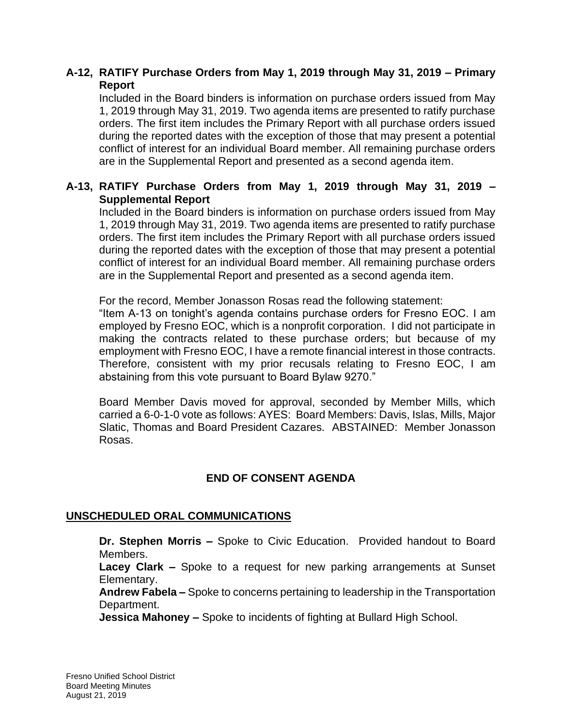## **A-12, RATIFY Purchase Orders from May 1, 2019 through May 31, 2019 – Primary Report**

Included in the Board binders is information on purchase orders issued from May 1, 2019 through May 31, 2019. Two agenda items are presented to ratify purchase orders. The first item includes the Primary Report with all purchase orders issued during the reported dates with the exception of those that may present a potential conflict of interest for an individual Board member. All remaining purchase orders are in the Supplemental Report and presented as a second agenda item.

# **A-13, RATIFY Purchase Orders from May 1, 2019 through May 31, 2019 – Supplemental Report**

Included in the Board binders is information on purchase orders issued from May 1, 2019 through May 31, 2019. Two agenda items are presented to ratify purchase orders. The first item includes the Primary Report with all purchase orders issued during the reported dates with the exception of those that may present a potential conflict of interest for an individual Board member. All remaining purchase orders are in the Supplemental Report and presented as a second agenda item.

For the record, Member Jonasson Rosas read the following statement:

"Item A-13 on tonight's agenda contains purchase orders for Fresno EOC. I am employed by Fresno EOC, which is a nonprofit corporation. I did not participate in making the contracts related to these purchase orders; but because of my employment with Fresno EOC, I have a remote financial interest in those contracts. Therefore, consistent with my prior recusals relating to Fresno EOC, I am abstaining from this vote pursuant to Board Bylaw 9270."

Board Member Davis moved for approval, seconded by Member Mills, which carried a 6-0-1-0 vote as follows: AYES: Board Members: Davis, Islas, Mills, Major Slatic, Thomas and Board President Cazares. ABSTAINED: Member Jonasson Rosas.

# **END OF CONSENT AGENDA**

#### **UNSCHEDULED ORAL COMMUNICATIONS**

**Dr. Stephen Morris –** Spoke to Civic Education. Provided handout to Board Members.

**Lacey Clark –** Spoke to a request for new parking arrangements at Sunset Elementary.

**Andrew Fabela –** Spoke to concerns pertaining to leadership in the Transportation Department.

**Jessica Mahoney –** Spoke to incidents of fighting at Bullard High School.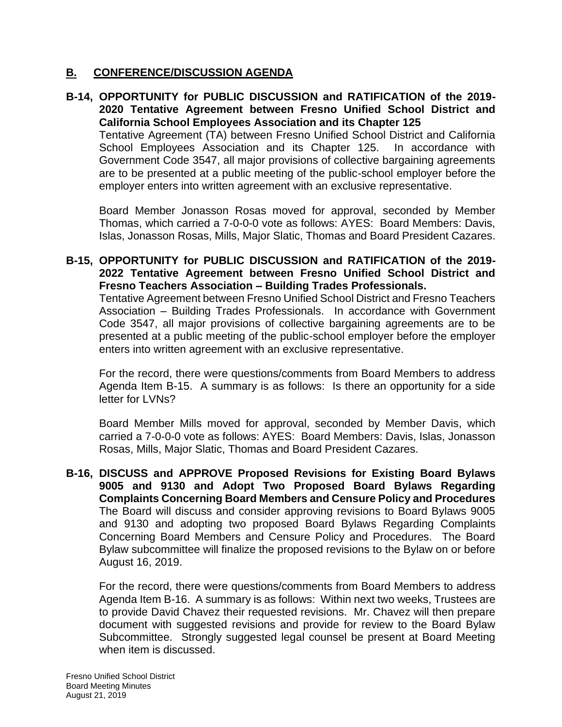### **B. CONFERENCE/DISCUSSION AGENDA**

### **B-14, OPPORTUNITY for PUBLIC DISCUSSION and RATIFICATION of the 2019- 2020 Tentative Agreement between Fresno Unified School District and California School Employees Association and its Chapter 125**

Tentative Agreement (TA) between Fresno Unified School District and California School Employees Association and its Chapter 125. In accordance with Government Code 3547, all major provisions of collective bargaining agreements are to be presented at a public meeting of the public-school employer before the employer enters into written agreement with an exclusive representative.

Board Member Jonasson Rosas moved for approval, seconded by Member Thomas, which carried a 7-0-0-0 vote as follows: AYES: Board Members: Davis, Islas, Jonasson Rosas, Mills, Major Slatic, Thomas and Board President Cazares.

#### **B-15, OPPORTUNITY for PUBLIC DISCUSSION and RATIFICATION of the 2019- 2022 Tentative Agreement between Fresno Unified School District and Fresno Teachers Association – Building Trades Professionals.**

Tentative Agreement between Fresno Unified School District and Fresno Teachers Association – Building Trades Professionals. In accordance with Government Code 3547, all major provisions of collective bargaining agreements are to be presented at a public meeting of the public-school employer before the employer enters into written agreement with an exclusive representative.

For the record, there were questions/comments from Board Members to address Agenda Item B-15. A summary is as follows: Is there an opportunity for a side letter for LVNs?

Board Member Mills moved for approval, seconded by Member Davis, which carried a 7-0-0-0 vote as follows: AYES: Board Members: Davis, Islas, Jonasson Rosas, Mills, Major Slatic, Thomas and Board President Cazares.

**B-16, DISCUSS and APPROVE Proposed Revisions for Existing Board Bylaws 9005 and 9130 and Adopt Two Proposed Board Bylaws Regarding Complaints Concerning Board Members and Censure Policy and Procedures** The Board will discuss and consider approving revisions to Board Bylaws 9005 and 9130 and adopting two proposed Board Bylaws Regarding Complaints Concerning Board Members and Censure Policy and Procedures. The Board Bylaw subcommittee will finalize the proposed revisions to the Bylaw on or before August 16, 2019.

For the record, there were questions/comments from Board Members to address Agenda Item B-16. A summary is as follows: Within next two weeks, Trustees are to provide David Chavez their requested revisions. Mr. Chavez will then prepare document with suggested revisions and provide for review to the Board Bylaw Subcommittee. Strongly suggested legal counsel be present at Board Meeting when item is discussed.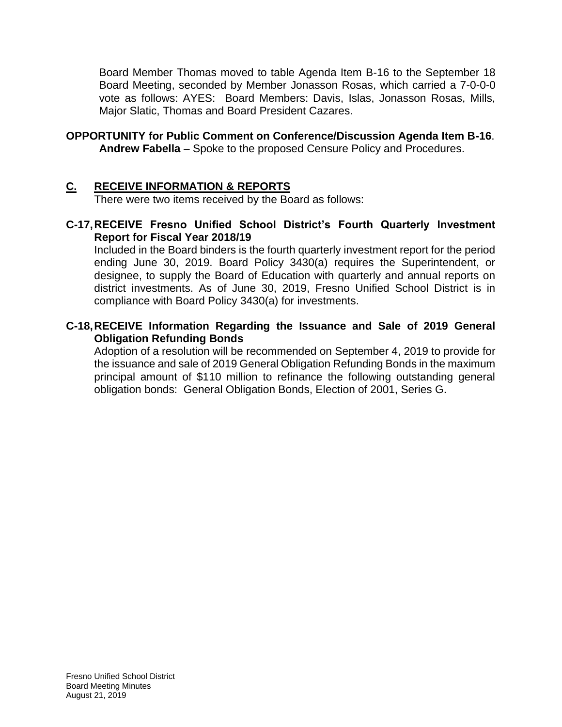Board Member Thomas moved to table Agenda Item B-16 to the September 18 Board Meeting, seconded by Member Jonasson Rosas, which carried a 7-0-0-0 vote as follows: AYES: Board Members: Davis, Islas, Jonasson Rosas, Mills, Major Slatic, Thomas and Board President Cazares.

#### **OPPORTUNITY for Public Comment on Conference/Discussion Agenda Item B-16**. **Andrew Fabella** – Spoke to the proposed Censure Policy and Procedures.

### **C. RECEIVE INFORMATION & REPORTS**

There were two items received by the Board as follows:

### **C-17,RECEIVE Fresno Unified School District's Fourth Quarterly Investment Report for Fiscal Year 2018/19**

Included in the Board binders is the fourth quarterly investment report for the period ending June 30, 2019. Board Policy 3430(a) requires the Superintendent, or designee, to supply the Board of Education with quarterly and annual reports on district investments. As of June 30, 2019, Fresno Unified School District is in compliance with Board Policy 3430(a) for investments.

### **C-18,RECEIVE Information Regarding the Issuance and Sale of 2019 General Obligation Refunding Bonds**

Adoption of a resolution will be recommended on September 4, 2019 to provide for the issuance and sale of 2019 General Obligation Refunding Bonds in the maximum principal amount of \$110 million to refinance the following outstanding general obligation bonds: General Obligation Bonds, Election of 2001, Series G.